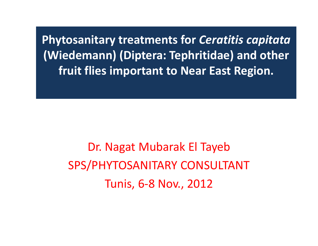**Phytosanitary treatments for Ceratitis capitata (Wiedemann) (Diptera: Tephritidae) and other fruit flies important to Near East Region.**

Dr. Nagat Mubarak El Tayeb SPS/PHYTOSANITARY CONSULTANT Tunis, 6‐8 Nov., 2012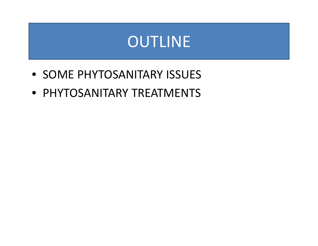# OUTLINE

- SOME PHYTOSANITARY ISSUES
- PHYTOSANITARY TREATMENTS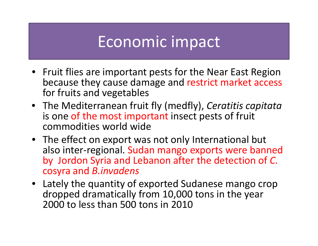# Economic impact

- Fruit flies are important pests for the Near East Region because they cause damage and restrict market access for fruits and vegetables
- The Mediterranean fruit fly (medfly), *Ceratitis capitata* is one of the most important insect pests of fruit commodities world wide
- The effect on export was not only International but also inter‐regional. Sudan mango exports were banned by Jordon Syria and Lebanon after the detection of *C.* cosyra and *B invadens B.invadens*
- Lately the quantity of exported Sudanese mango crop dropped dramatically from 10,000 tons in the year 2000 to less than 500 tons in 2010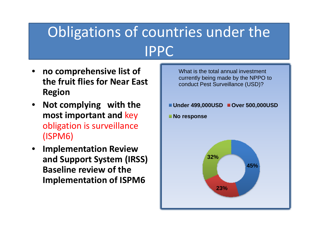# Obligations of countries under the IPPC

- •**no comprehensive list of** What is the total annual investment **of the Set of the NPPO** t **the fruit flies for Near East Region**
- $\bullet$  **Not complying with the most important and** key obligation is surveillance (ISPM6)
- **Implementation Review and Support System (IRSS) Baseline review of the 45% Implementation of ISPM6**

currently being made by the NPPO to conduct Pest Surveillance (USD)?

**Under 499,000USD Over 500,000USD , ,**

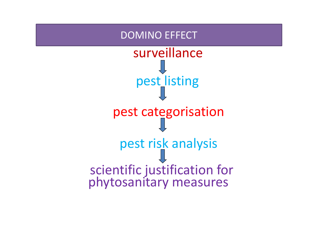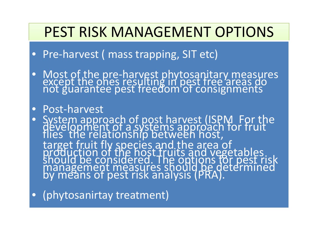## PEST RISK MANAGEMENT OPTIONS

- $\bullet$ Pre‐harvest ( mass trapping, SIT etc)
- $\bullet$ • Most of the pre-harvest phytosanitary measures<br>except the ones resulting in pest free areas do<br>not guarantee pest freedom of consignments

#### • Post‐harvest

- $\bullet$ • System approach of post harvest (ISPM For the development of a systems approach for fruit<br>flies the relationship between host, target fruit fly species and the area of<br>production of the host fruits and vegetables<br>should be considered. The options for pest r be considered. The options for pest risk management measures should be determined by means of pest risk analysis (PRA).
- $\bullet$ (phytosanirtay treatment)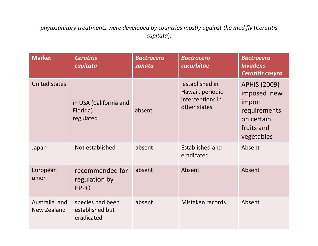*phytosanitary treatments were developed by countries mostly against the med fly* (*Ceratitis capitata*)*.*

| <b>Market</b>                       | <b>Ceratitis</b><br>capitata                      | <b>Bactrocera</b><br>zonata | <b>Bactrocera</b><br>cucurbitae                                        | <b>Bactrocera</b><br><b>Invadens</b><br>Ceratitis cosyra                                               |
|-------------------------------------|---------------------------------------------------|-----------------------------|------------------------------------------------------------------------|--------------------------------------------------------------------------------------------------------|
| <b>United states</b>                | in USA (California and<br>Florida)<br>regulated   | absent                      | established in<br>Hawaii, periodic<br>interceptions in<br>other states | <b>APHIS (2009)</b><br>imposed new<br>import<br>requirements<br>on certain<br>fruits and<br>vegetables |
| Japan                               | Not established                                   | absent                      | <b>Established and</b><br>eradicated                                   | Absent                                                                                                 |
| European<br>union                   | recommended for<br>regulation by<br><b>EPPO</b>   | absent                      | Absent                                                                 | Absent                                                                                                 |
| Australia and<br><b>New Zealand</b> | species had been<br>established but<br>eradicated | absent                      | Mistaken records                                                       | Absent                                                                                                 |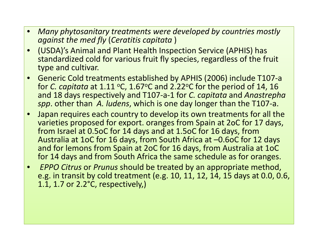- $\bullet$  *Many phytosanitary treatments were developed by countries mostly against the med fly* (*Ceratitis capitata* )
- $\bullet$  (USDA)'s Animal and Plant Health Inspection Service (APHIS) has standardized cold for various fruit fly species, regardless of the fruit type and cultivar.
- •• Generic Cold treatments established by APHIS (2006) include T107-a for *C. capitata* at 1.11 °C, 1.67°C and 2.22°C for the period of 14, 16 and 18 days respectively and T107 ‐ a ‐ 1 for *C. capitata* and *Anastrepha spp*. other than *A. ludens*, which is one da y lon ger than the T107 ‐a.
- • Japan requires each country to develop its own treatments for all the varieties proposed for export. oranges from Spain at 2oC for 17 days, from Israel at 0.5oC for 14 days and at 1.5oC for 16 days, from Australia at 1oC for 16 days, from South Africa at –0.6oC for 12 days and for lemons from Spain at 2oC for 16 days, from Australia at 1oC for 14 days and from South Africa the same schedule as for oranges.
- $\bullet$  *EPPO Citrus* or *Prunus* should be treated by an appropriate method, e.g. in transit by cold treatment (e.g. 10, 11, 12, 14, 15 days at 0.0, 0.6, 1.1, 1.7 or 2.2°C, respectively,)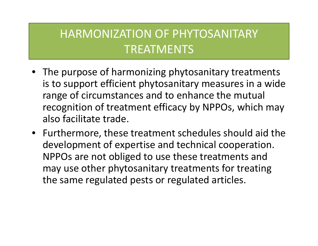### HARMONIZATION OF PHYTOSANITARY TREATMENTS

- The purpose of harmonizing phytosanitary treatments is to support efficient phytosanitary measures in <sup>a</sup> wide range of circumstances and to enhance the mutual recognition of treatment efficacy by NPPOs, which may also facilitate trade.
- Furthermore, these treatment schedules should aid the development of expertise and technical cooperation. NPPOs are not obliged to use these treatments and may use other phytosanitary treatments for treating the same regulated pests or regulated articles.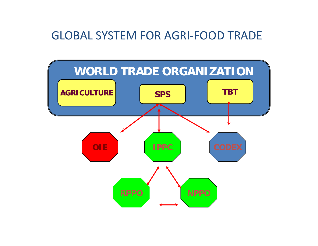#### GLOBAL SYSTEM FOR AGRI‐FOOD TRADE

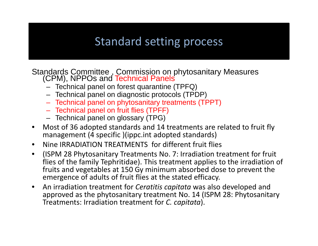#### Standard setting process

Standards Committee, Commission on phytosanitary Measures (CPM), NPPOs and Technical Panels

- Technical panel on forest quarantine (TPFQ)
- Technical panel on diagnostic protocols (TPDP)
- Technical panel on phytosanitary treatments (TPPT)
- $-$  Technical panel on fruit flies (TPFF)
- Technical panel on glossary (TPG)
- $\bullet$  Most of 36 adopted standards and 14 treatments are related to fruit fly management (4 specific )(ippc.int adopted standards)
- •• Nine IRRADIATION TREATMENTS for different fruit flies
- $\bullet$  (ISPM 28 Phytosanitary Treatments No. 7: Irradiation treatment for fruit flies of the family Tephritidae). This treatment applies to the irradiation of fruits and vegetables at 150 Gy minimum absorbed dose to prevent the emergence of adults of fruit flies at the stated efficacy.
- $\bullet$  An irradiation treatment for *Ceratitis capitata* was also developed and approved as the phytosanitary treatment No. 14 (ISPM 28: Phytosanitary Treatments: Irradiation treatment for *C. capitata*).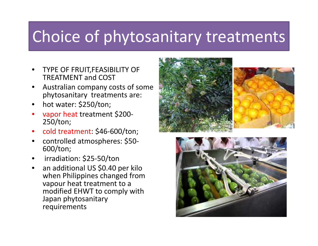# Choice of phytosanitary treatments

- • TYPE OF FRUIT,FEASIBILITY OF TREATMENT and COST
- • Australian company costs of some phytosanitary treatments are:
- •hot water: \$250/ton;
- • vapor heat treatment \$200‐ 250/ton;
- •● cold treatment: \$46-600/ton;
- •• controlled atmospheres: \$50-600/ton;
- •irradiation: \$25‐50/ton
- • $\bullet$   $\;$  an additional US \$0.40 per kilo when Philippines changed from vapour heat treatment to <sup>a</sup> modified EHWT to comply with Japan phytosanitary requirements



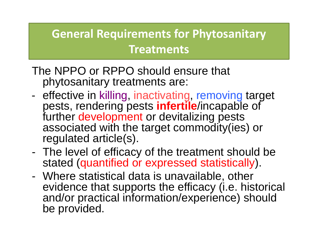## **General Requirements for Phytosanitary Treatments**

- The NPPO or RPPO should ensure that phytosanitary treatments are:
- effective in killing, inactivating, removing target pests, rendering pests **infertile**/incapable of further development or devitalizing pests associated with the target commodity(ies) or regulated article(s).
- The level of efficacy of the treatment should be stated (quantified or expressed statistically).
- Where statistical data is unavailable, other evidence that supports the efficacy (i.e. historical and/or practical information/experience) should be provided.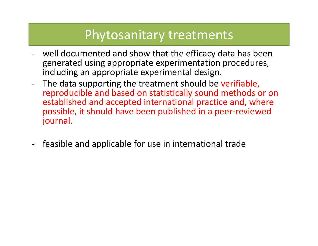### Phytosanitary treatments

- $\overline{\phantom{a}}$  well documented and show that the efficacy data has been generated using appropriate experimentation procedures, including an appropriate experimental design.
- ‐ The data supporting the treatment should be verifiable, reproducible and based on statistically sound methods or on established and accepted international practice and, where possible, it should have been published in <sup>a</sup> peer‐reviewed journal.
- $\blacksquare$ - feasible and applicable for use in international trade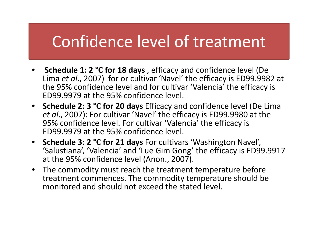# Confidence level of treatment

- **Schedule 1: 2 °C for 18 days** , efficacy and confidence level (De Lima *et al.,* 2007) for or cultivar 'Navel' the efficacy is ED99.9982 at the 95% confidence level and for cultivar 'Valencia' the efficacy is ED99.9979 at the 95% confidence level.
- **Schedule 2: 3 °C for 20 days** Efficacy and confidence level (De Lima *et al*., 2007): For cultivar 'Navel' the efficacy is ED99.9980 at the 95% confidence level. For cultivar 'Valencia' the efficacy is ED99.9979 at the 95% confidence level.
- **Schedule 3: 2 °C for 21 days** For cultivars 'Washington Navel', 'Salustiana', 'Valencia' and 'Lue Gim Gong' the efficacy is ED99.9917 at the 95% confidence level (Anon., 2007).
- The commodity must reach the treatment temperature before treatment commences. The commodity temperature should be monitored and should not exceed the stated level.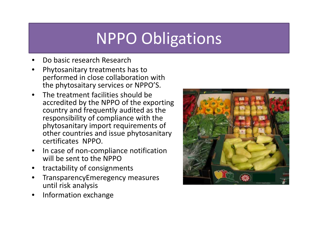# NPPO Obligations

- •Do basic research Research
- • Phytosanitary treatments has to performed in close collaboration with the phytosaitary services or NPPO'S.
- $\bullet$ • The treatment facilities should be accredited by the NPPO of the exporting country and frequently audited as the responsibility of compliance with the phytosanitary import requirements of other countries and issue phytosanitary certificates NPPO.
- $\bullet$ ● In case of non-compliance notification will be sent to the NPPO
- •tractability of consignments
- • TransparencyEmeregency measures until risk analysis
- •• Information exchange

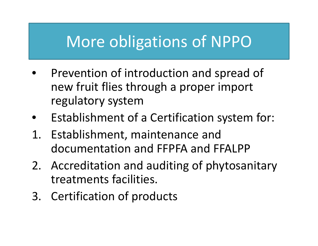# More obligations of NPPO

- •• Prevention of introduction and spread of new fruit flies through <sup>a</sup> proper import regulatory system
- •Establishment of <sup>a</sup> Certification system for:
- 1. Establishment, maintenance and documentation and FFPFA and FFALPP
- 2. Accreditation and auditing of phytosanitary treatments facilities.
- 3. Certification of products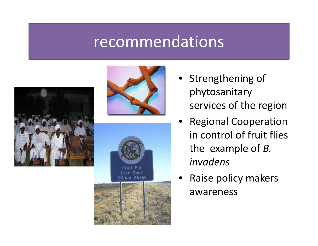## recommendations









- Strengthening of phytosanitary services of the region
- • Regional Cooperation in control of fruit flies the example of *B. invadens*
- •• Raise policy makers awareness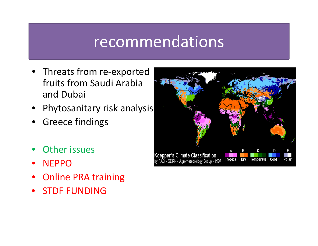## recommendations

- Threats from re-exported fruits from Saudi Arabia and Dubai
- •Phytosanitary risk analysis
- •Greece findings
- •Other issues
- $\bullet$ NEPPO
- •**•** Online PRA training
- $\bullet$ **• STDF FUNDING**